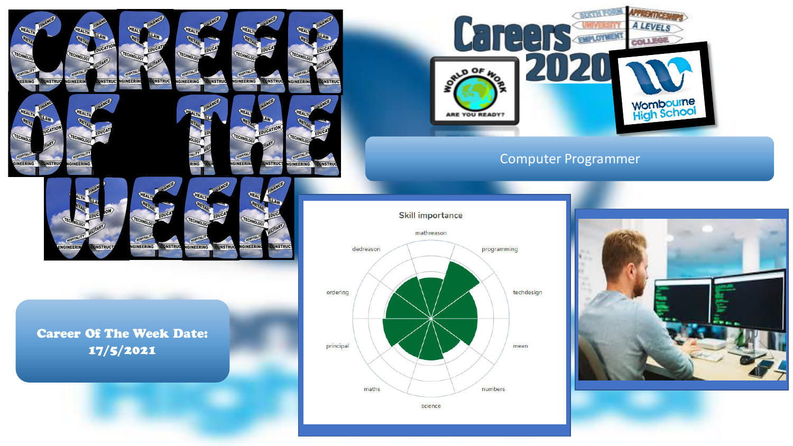

**IGINEERING** 

**ONSTRUC** 

**GINEERII** 

**INSTRU** 



**ONSTRUC** 

**GINEER** 

GINEERING

#### **CERTIFICATE**  $A_{11} = 11.65$ **A LEVELS** H. T - 1 **MENTING** COLLEGE  $00F$  $\mathcal{L}(\mathsf{U})$ **Wombourne**<br>High School ARE YOU READY?

## Computer Programmer

#### **Skill importance**





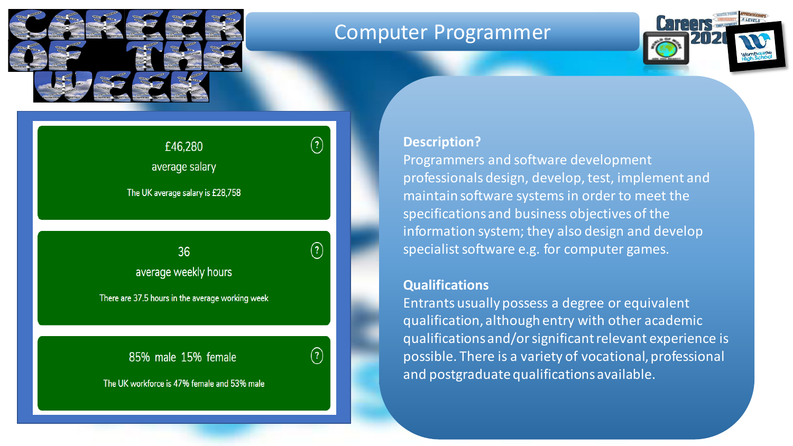

## Computer Programmer



# average salary

 $\left( \overline{\cdot }\right)$ 

 $\left( \overline{\cdot }\right)$ 

The UK average salary is £28,758

£46,280

## $\mathcal{O}$  is a group and male  $\mathcal{O}$  is a group and male  $\mathcal{O}$  is a group and male  $\mathcal{O}$ average weekly hours

There are 37.5 hours in the average working week

## 85% male 15% female



## **Description?**

Programmers and software development professionals design, develop, test, implement and maintain software systems in order to meet the specifications and business objectives of the information system; they also design and develop specialist software e.g. for computer games.

### **Qualifications**

Entrants usually possess a degree or equivalent qualification, although entry with other academic qualifications and/or significant relevant experience is possible. There is a variety of vocational, professional and postgraduate qualifications available.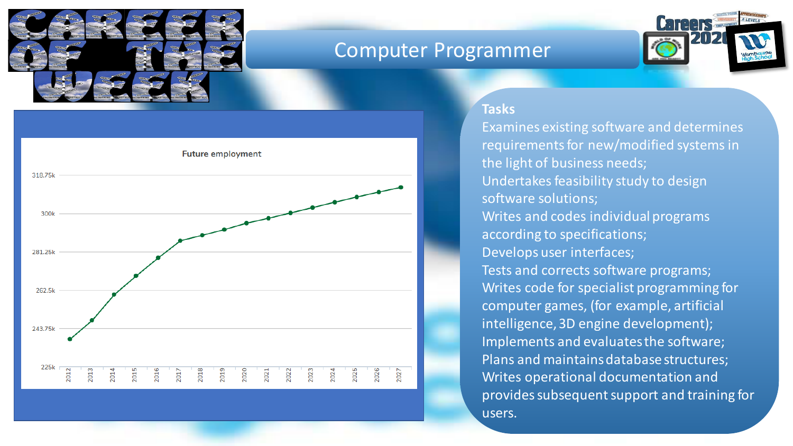

# Computer Programmer



## **Tasks**

**Future employment** 318.75k 300k 281.25k Insert future employment levels graph from icould.com/stories 262.5k 243.75k 225k 2012 015  $016$ 2026 2027 2013  $\overline{5}$  $rac{8}{2}$  $\frac{19}{2}$  $202$ 2021 2022 2023  $2024$  $2025$ 

Examines existing software and determines requirements for new/modified systems in the light of business needs; Undertakes feasibility study to design software solutions; Writes and codes individual programs according to specifications; Develops user interfaces; Tests and corrects software programs; Writes code for specialist programming for computer games, (for example, artificial intelligence, 3D engine development); Implements and evaluates the software; Plans and maintains database structures; Writes operational documentation and provides subsequent support and training for users.